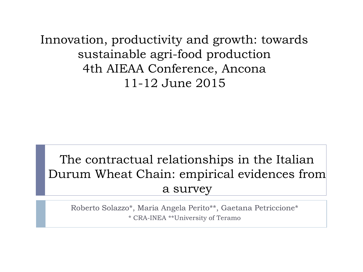Innovation, productivity and growth: towards sustainable agri-food production 4th AIEAA Conference, Ancona 11-12 June 2015

#### The contractual relationships in the Italian Durum Wheat Chain: empirical evidences from a survey

Roberto Solazzo\*, Maria Angela Perito\*\*, Gaetana Petriccione\* \* CRA-INEA \*\*University of Teramo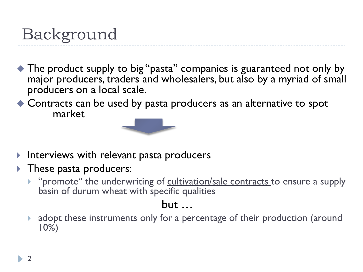# Background

- ◆ The product supply to big "pasta" companies is guaranteed not only by major producers, traders and wholesalers, but also by a myriad of small producers on a local scale.
- ◆ Contracts can be used by pasta producers as an alternative to spot market



- Interviews with relevant pasta producers
- $\blacktriangleright$  These pasta producers:
	- "promote" the underwriting of cultivation/sale contracts to ensure a supply basin of durum wheat with specific qualities

#### but …

adopt these instruments only for a percentage of their production (around 10%)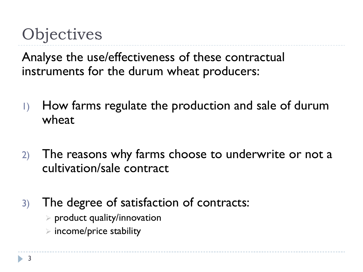# **Objectives**

Analyse the use/effectiveness of these contractual instruments for the durum wheat producers:

- 1) How farms regulate the production and sale of durum wheat
- 2) The reasons why farms choose to underwrite or not a cultivation/sale contract
- 3) The degree of satisfaction of contracts:
	- $\triangleright$  product quality/innovation
	- $\triangleright$  income/price stability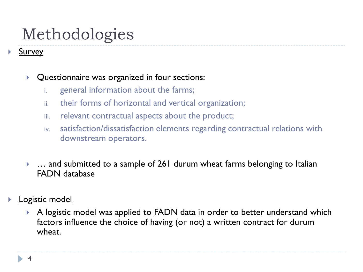# Methodologies

**Survey** 

#### ▶ Questionnaire was organized in four sections:

- i. general information about the farms;
- ii. their forms of horizontal and vertical organization;
- iii. relevant contractual aspects about the product;
- iv. satisfaction/dissatisfaction elements regarding contractual relations with downstream operators.
- ▶ … and submitted to a sample of 261 durum wheat farms belonging to Italian FADN database
- Logistic model
	- A logistic model was applied to FADN data in order to better understand which factors influence the choice of having (or not) a written contract for durum wheat.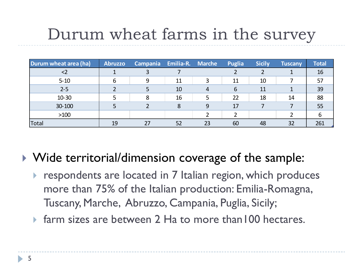# Durum wheat farms in the survey

| Durum wheat area (ha) | <b>Abruzzo</b> | Campania Emilia-R. Marche |    |    | Puglia | <b>Sicily</b> | <b>Tuscany</b> | <b>Total</b> |
|-----------------------|----------------|---------------------------|----|----|--------|---------------|----------------|--------------|
| <2                    |                |                           |    |    |        |               |                | 16           |
| $5 - 10$              | 6              | q                         | 11 |    | 11     | 10            |                | 57           |
| $2 - 5$               |                |                           | 10 | 4  | 6      | 11            |                | 39           |
| $10 - 30$             |                | 8                         | 16 | 5  | 22     | 18            | 14             | 88           |
| 30-100                |                |                           | 8  | 9  | 17     |               |                | 55           |
| $>100$                |                |                           |    |    |        |               |                |              |
| Total                 | 19             | 27                        | 52 | 23 | 60     | 48            | 32             | 261          |

▶ Wide territorial/dimension coverage of the sample:

- **Figure 2** respondents are located in 7 Italian region, which produces more than 75% of the Italian production: Emilia-Romagna, Tuscany, Marche, Abruzzo, Campania, Puglia, Sicily;
- ▶ farm sizes are between 2 Ha to more than100 hectares.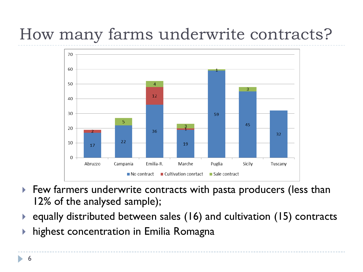# How many farms underwrite contracts?



- Few farmers underwrite contracts with pasta producers (less than 12% of the analysed sample);
- ▶ equally distributed between sales (16) and cultivation (15) contracts
- highest concentration in Emilia Romagna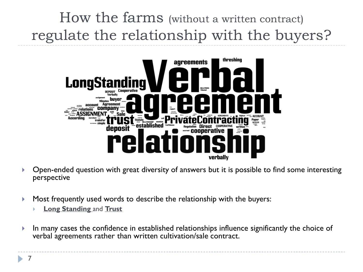## How the farms (without a written contract) regulate the relationship with the buyers?



- Open-ended question with great diversity of answers but it is possible to find some interesting perspective
- Most frequently used words to describe the relationship with the buyers:
	- **Long Standing** and **Trust**
- $\blacktriangleright$  In many cases the confidence in established relationships influence significantly the choice of verbal agreements rather than written cultivation/sale contract.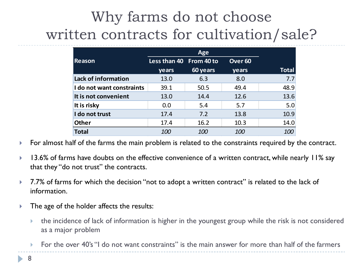## Why farms do not choose written contracts for cultivation/sale?

|                                                                                                                                                                                                                                                                    |                                                                                                    | Age      |                    |              |  |  |
|--------------------------------------------------------------------------------------------------------------------------------------------------------------------------------------------------------------------------------------------------------------------|----------------------------------------------------------------------------------------------------|----------|--------------------|--------------|--|--|
| Reason                                                                                                                                                                                                                                                             | Less than 40 From 40 to                                                                            |          | Over <sub>60</sub> |              |  |  |
|                                                                                                                                                                                                                                                                    | years                                                                                              | 60 years | years              | <b>Total</b> |  |  |
| Lack of information                                                                                                                                                                                                                                                | 13.0                                                                                               | 6.3      | 8.0                | 7.7          |  |  |
| I do not want constraints                                                                                                                                                                                                                                          | 39.1                                                                                               | 50.5     | 49.4               | 48.9         |  |  |
| It is not convenient                                                                                                                                                                                                                                               | 13.0                                                                                               | 14.4     | 12.6               | 13.6         |  |  |
| It is risky                                                                                                                                                                                                                                                        | 0.0                                                                                                | 5.4      | 5.7                | 5.0          |  |  |
| I do not trust                                                                                                                                                                                                                                                     | 17.4                                                                                               | 7.2      | 13.8               | 10.9         |  |  |
| <b>Other</b>                                                                                                                                                                                                                                                       | 17.4                                                                                               | 16.2     | 10.3               | 14.0         |  |  |
| <b>Total</b>                                                                                                                                                                                                                                                       | 100                                                                                                | 100      | 100                | 100          |  |  |
| 13.6% of farms have doubts on the effective convenience of a written contract, while nearly 11% say<br>that they "do not trust" the contracts.<br>7.7% of farms for which the decision "not to adopt a written contract" is related to the lack of<br>information. |                                                                                                    |          |                    |              |  |  |
| The age of the holder affects the results:                                                                                                                                                                                                                         |                                                                                                    |          |                    |              |  |  |
| the incidence of lack of information is higher in the youngest group while the risk is not considere<br>k.<br>as a major problem                                                                                                                                   |                                                                                                    |          |                    |              |  |  |
| k.                                                                                                                                                                                                                                                                 | For the over 40's "I do not want constraints" is the main answer for more than half of the farmers |          |                    |              |  |  |

- For almost half of the farms the main problem is related to the constraints required by the contract.
- 13.6% of farms have doubts on the effective convenience of a written contract, while nearly 11% say that they "do not trust" the contracts.
- 7.7% of farms for which the decision "not to adopt a written contract" is related to the lack of information.
- The age of the holder affects the results:
	- the incidence of lack of information is higher in the youngest group while the risk is not considered as a major problem
	-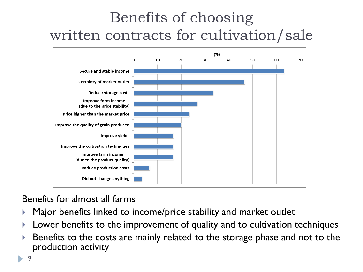## Benefits of choosing written contracts for cultivation/sale



Benefits for almost all farms

- Major benefits linked to income/price stability and market outlet
- Lower benefits to the improvement of quality and to cultivation techniques
- Benefits to the costs are mainly related to the storage phase and not to the production activity

9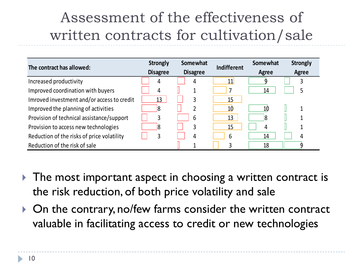#### Assessment of the effectiveness of written contracts for cultivation/sale

| The contract has allowed:                  | <b>Strongly</b> | Somewhat        | <b>Indifferent</b> | Somewhat | <b>Strongly</b> |
|--------------------------------------------|-----------------|-----------------|--------------------|----------|-----------------|
|                                            | <b>Disagree</b> | <b>Disagree</b> |                    | Agree    | Agree           |
| Increased productivity                     | 4               | 4               | 11                 |          | 3               |
| Improved coordination with buyers          | 4               |                 |                    | 14       | 5               |
| Imroved investment and/or access to credit | 13              | 3               | 15                 |          |                 |
| Improved the planning of activities        |                 |                 | 10                 | 10       | 1               |
| Provision of technical assistance/support  | 3               | 6               | 13                 | 18       |                 |
| Provision to access new technologies       |                 | 3               | 15                 | 4        |                 |
| Reduction of the risks of price volatility | 3               | 4               | 6                  | 14       | 4               |
| Reduction of the risk of sale              |                 |                 |                    | 18       |                 |

- ▶ The most important aspect in choosing a written contract is the risk reduction, of both price volatility and sale
- ▶ On the contrary, no/few farms consider the written contract valuable in facilitating access to credit or new technologies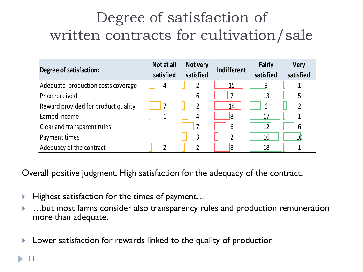#### Degree of satisfaction of written contracts for cultivation/sale

| Degree of satisfaction:                                                                                                                                                                                                                                                              | Not at all<br>satisfied | Not very<br>satisfied | <b>Indifferent</b> | <b>Fairly</b><br>satisfied | <b>Very</b><br>satisfied |
|--------------------------------------------------------------------------------------------------------------------------------------------------------------------------------------------------------------------------------------------------------------------------------------|-------------------------|-----------------------|--------------------|----------------------------|--------------------------|
| Adequate production costs coverage                                                                                                                                                                                                                                                   | 4                       | $\overline{2}$        | 15                 | 9                          | $\mathbf{1}$             |
| Price received                                                                                                                                                                                                                                                                       |                         | 6                     | 7                  | 13                         | 5                        |
| Reward provided for product quality                                                                                                                                                                                                                                                  | 7                       | $\overline{2}$        | 14                 | 6                          | $\overline{2}$           |
| Earned income                                                                                                                                                                                                                                                                        | $\overline{1}$          | 4                     | 18                 | 17                         | $\overline{1}$           |
| Clear and transparent rules                                                                                                                                                                                                                                                          |                         | 7                     | 6                  | 12                         | 6                        |
| Payment times                                                                                                                                                                                                                                                                        |                         | 3                     | 2                  | 16                         | 10                       |
| Adequacy of the contract                                                                                                                                                                                                                                                             | $\overline{2}$          | 2                     | 8                  | 18                         | 1                        |
| Overall positive judgment. High satisfaction for the adequacy of the contract.<br>Highest satisfaction for the times of payment<br>$\blacktriangleright$<br>but most farms consider also transparency rules and production remunerat<br>$\blacktriangleright$<br>more than adequate. |                         |                       |                    |                            |                          |
| Lower satisfaction for rewards linked to the quality of production<br>$\blacktriangleright$                                                                                                                                                                                          |                         |                       |                    |                            |                          |

- $\blacktriangleright$  Highest satisfaction for the times of payment...
- …but most farms consider also transparency rules and production remuneration more than adequate.
-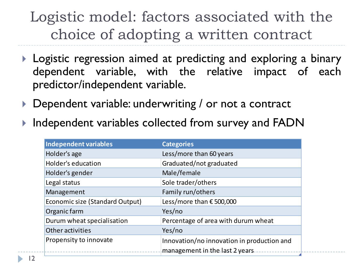#### Logistic model: factors associated with the choice of adopting a written contract

- **Logistic regression aimed at predicting and exploring a binary** dependent variable, with the relative impact of each predictor/independent variable.
- ▶ Dependent variable: underwriting / or not a contract
- ▶ Independent variables collected from survey and FADN

| Independent variables           | <b>Categories</b>                                                            |
|---------------------------------|------------------------------------------------------------------------------|
| Holder's age                    | Less/more than 60 years                                                      |
| Holder's education              | Graduated/not graduated                                                      |
| Holder's gender                 | Male/female                                                                  |
| Legal status                    | Sole trader/others                                                           |
| Management                      | Family run/others                                                            |
| Economic size (Standard Output) | Less/more than €500,000                                                      |
| Organic farm                    | Yes/no                                                                       |
| Durum wheat specialisation      | Percentage of area with durum wheat                                          |
| Other activities                | Yes/no                                                                       |
| Propensity to innovate          | Innovation/no innovation in production and<br>management in the last 2 years |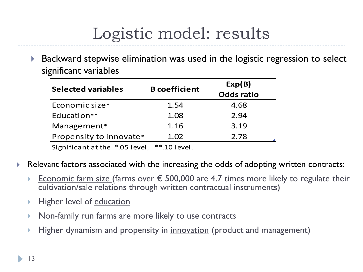# Logistic model: results

▶ Backward stepwise elimination was used in the logistic regression to select significant variables

| <b>Selected variables</b> | <b>B</b> coefficient | Exp(B)            |  |  |
|---------------------------|----------------------|-------------------|--|--|
|                           |                      | <b>Odds ratio</b> |  |  |
| Economic size*            | 1.54                 | 4.68              |  |  |
| Education**               | 1.08                 | 2.94              |  |  |
| Management*               | 1.16                 | 3.19              |  |  |
| Propensity to innovate*   | 1.02                 | 2.78              |  |  |
|                           |                      |                   |  |  |

Significant at the \*.05 level, \*\*.10 level.

- Relevant factors associated with the increasing the odds of adopting written contracts:
	- Economic farm size (farms over  $\epsilon$  500,000 are 4.7 times more likely to regulate their cultivation/sale relations through written contractual instruments)
	- Higher level of education
	- Non-family run farms are more likely to use contracts
	- Higher dynamism and propensity in <u>innovation</u> (product and management)